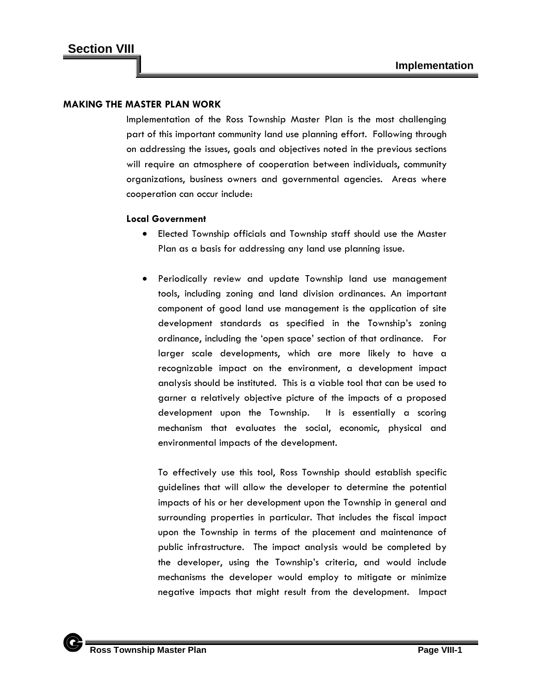### **MAKING THE MASTER PLAN WORK**

Implementation of the Ross Township Master Plan is the most challenging part of this important community land use planning effort. Following through on addressing the issues, goals and objectives noted in the previous sections will require an atmosphere of cooperation between individuals, community organizations, business owners and governmental agencies. Areas where cooperation can occur include:

## **Local Government**

- Elected Township officials and Township staff should use the Master Plan as a basis for addressing any land use planning issue.
- Periodically review and update Township land use management tools, including zoning and land division ordinances. An important component of good land use management is the application of site development standards as specified in the Township's zoning ordinance, including the 'open space' section of that ordinance. For larger scale developments, which are more likely to have a recognizable impact on the environment, a development impact analysis should be instituted. This is a viable tool that can be used to garner a relatively objective picture of the impacts of a proposed development upon the Township. It is essentially a scoring mechanism that evaluates the social, economic, physical and environmental impacts of the development.

To effectively use this tool, Ross Township should establish specific guidelines that will allow the developer to determine the potential impacts of his or her development upon the Township in general and surrounding properties in particular. That includes the fiscal impact upon the Township in terms of the placement and maintenance of public infrastructure. The impact analysis would be completed by the developer, using the Township's criteria, and would include mechanisms the developer would employ to mitigate or minimize negative impacts that might result from the development. Impact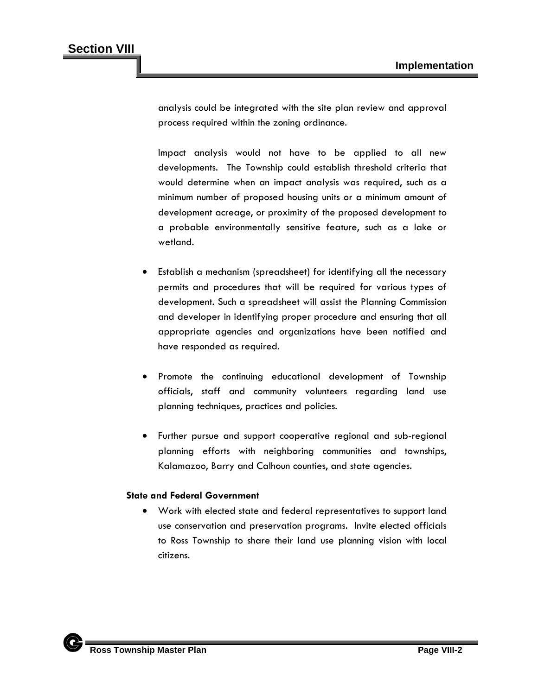analysis could be integrated with the site plan review and approval process required within the zoning ordinance.

Impact analysis would not have to be applied to all new developments. The Township could establish threshold criteria that would determine when an impact analysis was required, such as a minimum number of proposed housing units or a minimum amount of development acreage, or proximity of the proposed development to a probable environmentally sensitive feature, such as a lake or wetland.

- Establish a mechanism (spreadsheet) for identifying all the necessary permits and procedures that will be required for various types of development. Such a spreadsheet will assist the Planning Commission and developer in identifying proper procedure and ensuring that all appropriate agencies and organizations have been notified and have responded as required.
- Promote the continuing educational development of Township officials, staff and community volunteers regarding land use planning techniques, practices and policies.
- Further pursue and support cooperative regional and sub-regional planning efforts with neighboring communities and townships, Kalamazoo, Barry and Calhoun counties, and state agencies.

# **State and Federal Government**

• Work with elected state and federal representatives to support land use conservation and preservation programs. Invite elected officials to Ross Township to share their land use planning vision with local citizens.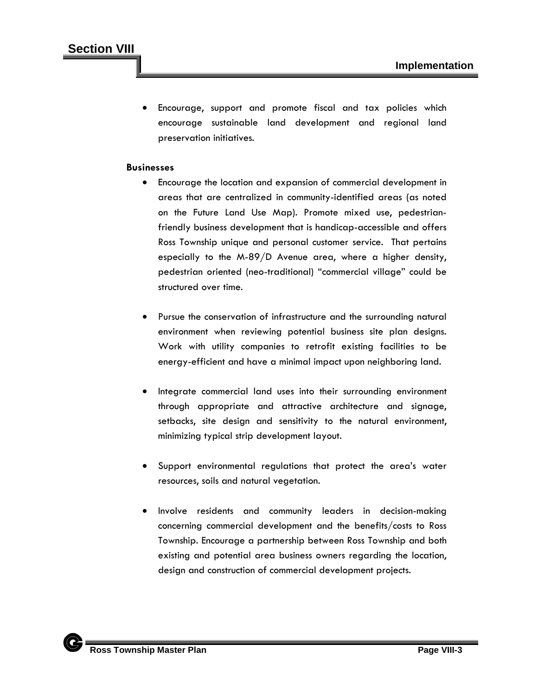Encourage, support and promote fiscal and tax policies which encourage sustainable land development and regional land preservation initiatives.

## **Businesses**

- Encourage the location and expansion of commercial development in areas that are centralized in community-identified areas (as noted on the Future Land Use Map). Promote mixed use, pedestrianfriendly business development that is handicap-accessible and offers Ross Township unique and personal customer service. That pertains especially to the M-89/D Avenue area, where a higher density, pedestrian oriented (neo-traditional) "commercial village" could be structured over time.
- Pursue the conservation of infrastructure and the surrounding natural environment when reviewing potential business site plan designs. Work with utility companies to retrofit existing facilities to be energy-efficient and have a minimal impact upon neighboring land.
- Integrate commercial land uses into their surrounding environment through appropriate and attractive architecture and signage, setbacks, site design and sensitivity to the natural environment, minimizing typical strip development layout.
- Support environmental regulations that protect the area's water resources, soils and natural vegetation.
- Involve residents and community leaders in decision-making concerning commercial development and the benefits/costs to Ross Township. Encourage a partnership between Ross Township and both existing and potential area business owners regarding the location, design and construction of commercial development projects.

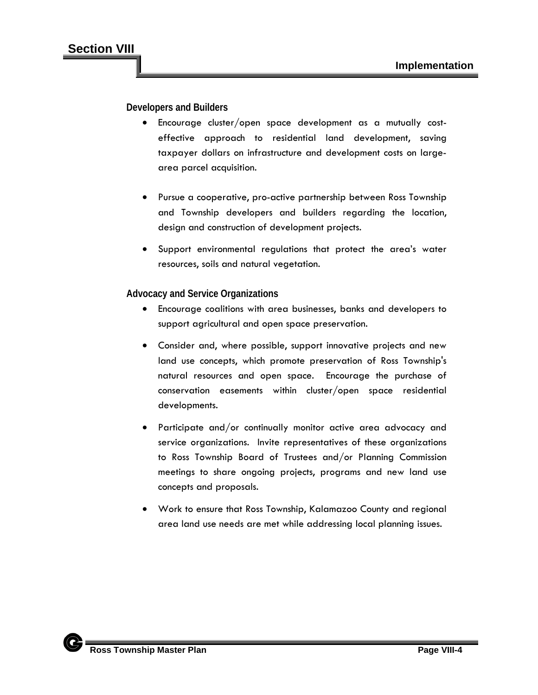**Developers and Builders**

- Encourage cluster/open space development as a mutually costeffective approach to residential land development, saving taxpayer dollars on infrastructure and development costs on largearea parcel acquisition.
- Pursue a cooperative, pro-active partnership between Ross Township and Township developers and builders regarding the location, design and construction of development projects.
- Support environmental regulations that protect the area's water resources, soils and natural vegetation.

**Advocacy and Service Organizations**

- Encourage coalitions with area businesses, banks and developers to support agricultural and open space preservation.
- Consider and, where possible, support innovative projects and new land use concepts, which promote preservation of Ross Township's natural resources and open space. Encourage the purchase of conservation easements within cluster/open space residential developments.
- Participate and/or continually monitor active area advocacy and service organizations. Invite representatives of these organizations to Ross Township Board of Trustees and/or Planning Commission meetings to share ongoing projects, programs and new land use concepts and proposals.
- Work to ensure that Ross Township, Kalamazoo County and regional area land use needs are met while addressing local planning issues.

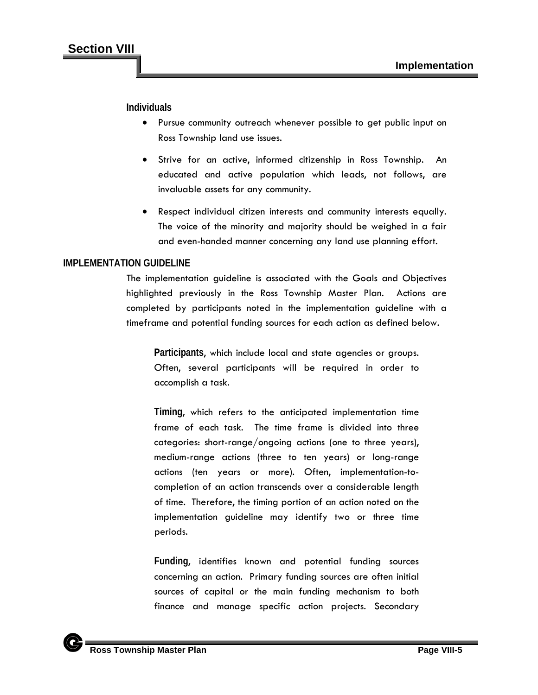**Individuals**

- Pursue community outreach whenever possible to get public input on Ross Township land use issues.
- Strive for an active, informed citizenship in Ross Township. An educated and active population which leads, not follows, are invaluable assets for any community.
- Respect individual citizen interests and community interests equally. The voice of the minority and majority should be weighed in a fair and even-handed manner concerning any land use planning effort.

# **IMPLEMENTATION GUIDELINE**

The implementation guideline is associated with the Goals and Objectives highlighted previously in the Ross Township Master Plan. Actions are completed by participants noted in the implementation guideline with a timeframe and potential funding sources for each action as defined below.

**Participants**, which include local and state agencies or groups. Often, several participants will be required in order to accomplish a task.

**Timing**, which refers to the anticipated implementation time frame of each task. The time frame is divided into three categories: short-range/ongoing actions (one to three years), medium-range actions (three to ten years) or long-range actions (ten years or more). Often, implementation-tocompletion of an action transcends over a considerable length of time. Therefore, the timing portion of an action noted on the implementation guideline may identify two or three time periods.

**Funding**, identifies known and potential funding sources concerning an action. Primary funding sources are often initial sources of capital or the main funding mechanism to both finance and manage specific action projects. Secondary